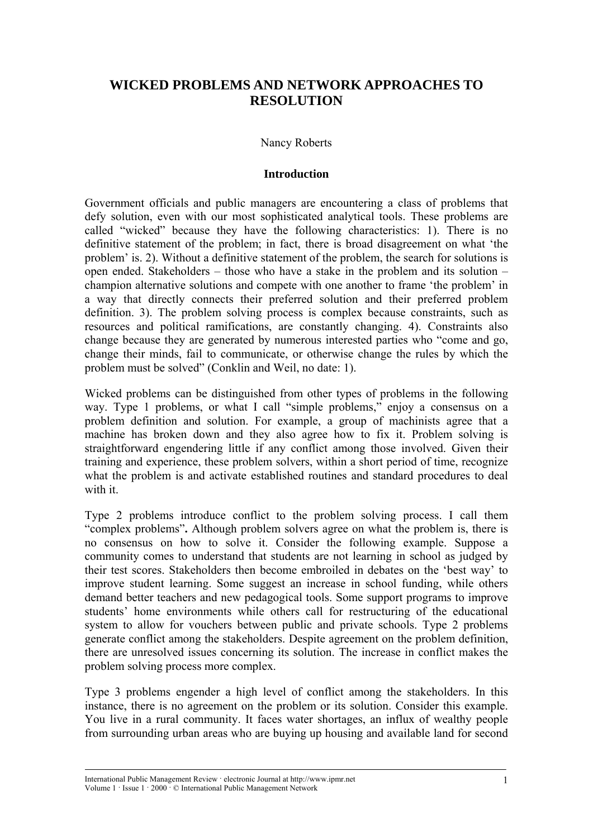# **WICKED PROBLEMS AND NETWORK APPROACHES TO RESOLUTION**

Nancy Roberts

#### **Introduction**

Government officials and public managers are encountering a class of problems that defy solution, even with our most sophisticated analytical tools. These problems are called "wicked" because they have the following characteristics: 1). There is no definitive statement of the problem; in fact, there is broad disagreement on what 'the problem' is. 2). Without a definitive statement of the problem, the search for solutions is open ended. Stakeholders – those who have a stake in the problem and its solution – champion alternative solutions and compete with one another to frame 'the problem' in a way that directly connects their preferred solution and their preferred problem definition. 3). The problem solving process is complex because constraints, such as resources and political ramifications, are constantly changing. 4). Constraints also change because they are generated by numerous interested parties who "come and go, change their minds, fail to communicate, or otherwise change the rules by which the problem must be solved" (Conklin and Weil, no date: 1).

Wicked problems can be distinguished from other types of problems in the following way. Type 1 problems, or what I call "simple problems," enjoy a consensus on a problem definition and solution. For example, a group of machinists agree that a machine has broken down and they also agree how to fix it. Problem solving is straightforward engendering little if any conflict among those involved. Given their training and experience, these problem solvers, within a short period of time, recognize what the problem is and activate established routines and standard procedures to deal with it.

Type 2 problems introduce conflict to the problem solving process. I call them "complex problems"**.** Although problem solvers agree on what the problem is, there is no consensus on how to solve it. Consider the following example. Suppose a community comes to understand that students are not learning in school as judged by their test scores. Stakeholders then become embroiled in debates on the 'best way' to improve student learning. Some suggest an increase in school funding, while others demand better teachers and new pedagogical tools. Some support programs to improve students' home environments while others call for restructuring of the educational system to allow for vouchers between public and private schools. Type 2 problems generate conflict among the stakeholders. Despite agreement on the problem definition, there are unresolved issues concerning its solution. The increase in conflict makes the problem solving process more complex.

Type 3 problems engender a high level of conflict among the stakeholders. In this instance, there is no agreement on the problem or its solution. Consider this example. You live in a rural community. It faces water shortages, an influx of wealthy people from surrounding urban areas who are buying up housing and available land for second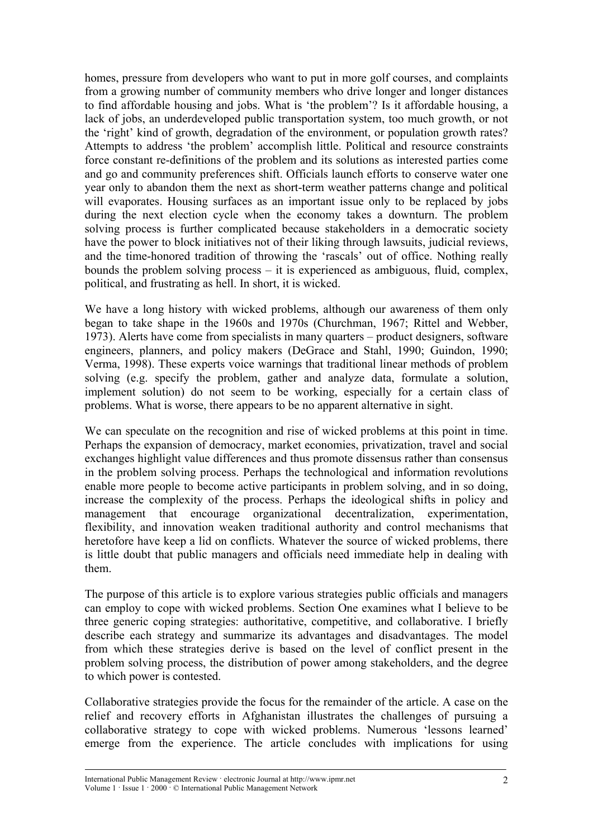homes, pressure from developers who want to put in more golf courses, and complaints from a growing number of community members who drive longer and longer distances to find affordable housing and jobs. What is 'the problem'? Is it affordable housing, a lack of jobs, an underdeveloped public transportation system, too much growth, or not the 'right' kind of growth, degradation of the environment, or population growth rates? Attempts to address 'the problem' accomplish little. Political and resource constraints force constant re-definitions of the problem and its solutions as interested parties come and go and community preferences shift. Officials launch efforts to conserve water one year only to abandon them the next as short-term weather patterns change and political will evaporates. Housing surfaces as an important issue only to be replaced by jobs during the next election cycle when the economy takes a downturn. The problem solving process is further complicated because stakeholders in a democratic society have the power to block initiatives not of their liking through lawsuits, judicial reviews, and the time-honored tradition of throwing the 'rascals' out of office. Nothing really bounds the problem solving process – it is experienced as ambiguous, fluid, complex, political, and frustrating as hell. In short, it is wicked.

We have a long history with wicked problems, although our awareness of them only began to take shape in the 1960s and 1970s (Churchman, 1967; Rittel and Webber, 1973). Alerts have come from specialists in many quarters – product designers, software engineers, planners, and policy makers (DeGrace and Stahl, 1990; Guindon, 1990; Verma, 1998). These experts voice warnings that traditional linear methods of problem solving (e.g. specify the problem, gather and analyze data, formulate a solution, implement solution) do not seem to be working, especially for a certain class of problems. What is worse, there appears to be no apparent alternative in sight.

We can speculate on the recognition and rise of wicked problems at this point in time. Perhaps the expansion of democracy, market economies, privatization, travel and social exchanges highlight value differences and thus promote dissensus rather than consensus in the problem solving process. Perhaps the technological and information revolutions enable more people to become active participants in problem solving, and in so doing, increase the complexity of the process. Perhaps the ideological shifts in policy and management that encourage organizational decentralization, experimentation, flexibility, and innovation weaken traditional authority and control mechanisms that heretofore have keep a lid on conflicts. Whatever the source of wicked problems, there is little doubt that public managers and officials need immediate help in dealing with them.

The purpose of this article is to explore various strategies public officials and managers can employ to cope with wicked problems. Section One examines what I believe to be three generic coping strategies: authoritative, competitive, and collaborative. I briefly describe each strategy and summarize its advantages and disadvantages. The model from which these strategies derive is based on the level of conflict present in the problem solving process, the distribution of power among stakeholders, and the degree to which power is contested.

Collaborative strategies provide the focus for the remainder of the article. A case on the relief and recovery efforts in Afghanistan illustrates the challenges of pursuing a collaborative strategy to cope with wicked problems. Numerous 'lessons learned' emerge from the experience. The article concludes with implications for using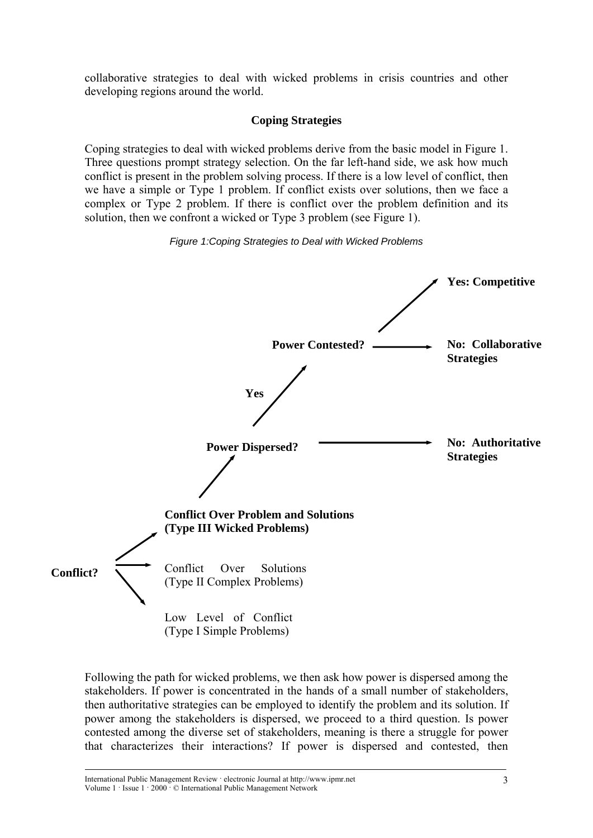collaborative strategies to deal with wicked problems in crisis countries and other developing regions around the world.

## **Coping Strategies**

Coping strategies to deal with wicked problems derive from the basic model in Figure 1. Three questions prompt strategy selection. On the far left-hand side, we ask how much conflict is present in the problem solving process. If there is a low level of conflict, then we have a simple or Type 1 problem. If conflict exists over solutions, then we face a complex or Type 2 problem. If there is conflict over the problem definition and its solution, then we confront a wicked or Type 3 problem (see Figure 1).

#### *Figure 1:Coping Strategies to Deal with Wicked Problems*



Following the path for wicked problems, we then ask how power is dispersed among the stakeholders. If power is concentrated in the hands of a small number of stakeholders, then authoritative strategies can be employed to identify the problem and its solution. If power among the stakeholders is dispersed, we proceed to a third question. Is power contested among the diverse set of stakeholders, meaning is there a struggle for power that characterizes their interactions? If power is dispersed and contested, then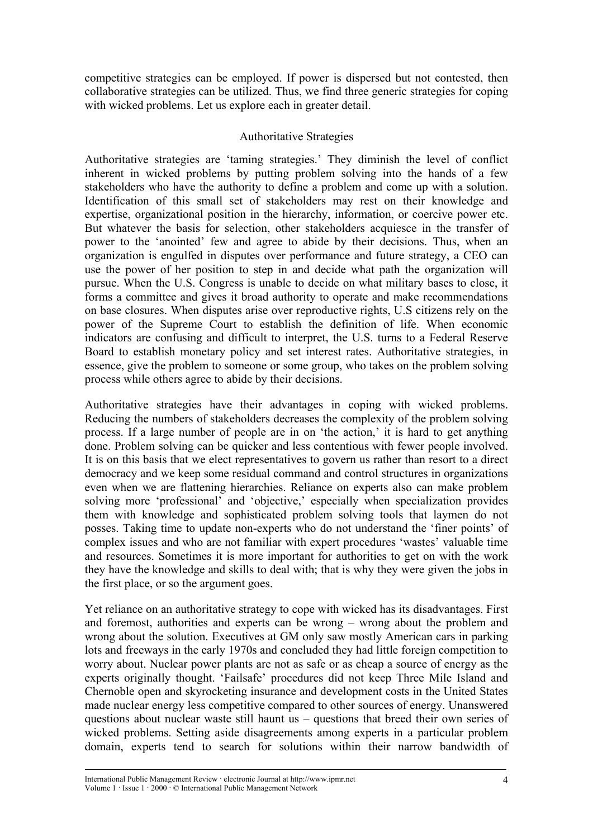competitive strategies can be employed. If power is dispersed but not contested, then collaborative strategies can be utilized. Thus, we find three generic strategies for coping with wicked problems. Let us explore each in greater detail.

### Authoritative Strategies

Authoritative strategies are 'taming strategies.' They diminish the level of conflict inherent in wicked problems by putting problem solving into the hands of a few stakeholders who have the authority to define a problem and come up with a solution. Identification of this small set of stakeholders may rest on their knowledge and expertise, organizational position in the hierarchy, information, or coercive power etc. But whatever the basis for selection, other stakeholders acquiesce in the transfer of power to the 'anointed' few and agree to abide by their decisions. Thus, when an organization is engulfed in disputes over performance and future strategy, a CEO can use the power of her position to step in and decide what path the organization will pursue. When the U.S. Congress is unable to decide on what military bases to close, it forms a committee and gives it broad authority to operate and make recommendations on base closures. When disputes arise over reproductive rights, U.S citizens rely on the power of the Supreme Court to establish the definition of life. When economic indicators are confusing and difficult to interpret, the U.S. turns to a Federal Reserve Board to establish monetary policy and set interest rates. Authoritative strategies, in essence, give the problem to someone or some group, who takes on the problem solving process while others agree to abide by their decisions.

Authoritative strategies have their advantages in coping with wicked problems. Reducing the numbers of stakeholders decreases the complexity of the problem solving process. If a large number of people are in on 'the action,' it is hard to get anything done. Problem solving can be quicker and less contentious with fewer people involved. It is on this basis that we elect representatives to govern us rather than resort to a direct democracy and we keep some residual command and control structures in organizations even when we are flattening hierarchies. Reliance on experts also can make problem solving more 'professional' and 'objective,' especially when specialization provides them with knowledge and sophisticated problem solving tools that laymen do not posses. Taking time to update non-experts who do not understand the 'finer points' of complex issues and who are not familiar with expert procedures 'wastes' valuable time and resources. Sometimes it is more important for authorities to get on with the work they have the knowledge and skills to deal with; that is why they were given the jobs in the first place, or so the argument goes.

Yet reliance on an authoritative strategy to cope with wicked has its disadvantages. First and foremost, authorities and experts can be wrong – wrong about the problem and wrong about the solution. Executives at GM only saw mostly American cars in parking lots and freeways in the early 1970s and concluded they had little foreign competition to worry about. Nuclear power plants are not as safe or as cheap a source of energy as the experts originally thought. 'Failsafe' procedures did not keep Three Mile Island and Chernoble open and skyrocketing insurance and development costs in the United States made nuclear energy less competitive compared to other sources of energy. Unanswered questions about nuclear waste still haunt us – questions that breed their own series of wicked problems. Setting aside disagreements among experts in a particular problem domain, experts tend to search for solutions within their narrow bandwidth of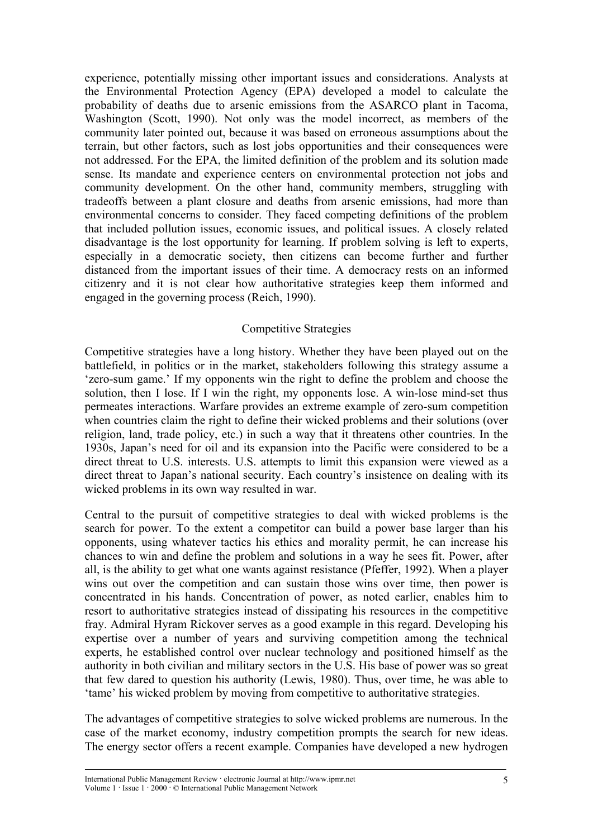experience, potentially missing other important issues and considerations. Analysts at the Environmental Protection Agency (EPA) developed a model to calculate the probability of deaths due to arsenic emissions from the ASARCO plant in Tacoma, Washington (Scott, 1990). Not only was the model incorrect, as members of the community later pointed out, because it was based on erroneous assumptions about the terrain, but other factors, such as lost jobs opportunities and their consequences were not addressed. For the EPA, the limited definition of the problem and its solution made sense. Its mandate and experience centers on environmental protection not jobs and community development. On the other hand, community members, struggling with tradeoffs between a plant closure and deaths from arsenic emissions, had more than environmental concerns to consider. They faced competing definitions of the problem that included pollution issues, economic issues, and political issues. A closely related disadvantage is the lost opportunity for learning. If problem solving is left to experts, especially in a democratic society, then citizens can become further and further distanced from the important issues of their time. A democracy rests on an informed citizenry and it is not clear how authoritative strategies keep them informed and engaged in the governing process (Reich, 1990).

## Competitive Strategies

Competitive strategies have a long history. Whether they have been played out on the battlefield, in politics or in the market, stakeholders following this strategy assume a 'zero-sum game.' If my opponents win the right to define the problem and choose the solution, then I lose. If I win the right, my opponents lose. A win-lose mind-set thus permeates interactions. Warfare provides an extreme example of zero-sum competition when countries claim the right to define their wicked problems and their solutions (over religion, land, trade policy, etc.) in such a way that it threatens other countries. In the 1930s, Japan's need for oil and its expansion into the Pacific were considered to be a direct threat to U.S. interests. U.S. attempts to limit this expansion were viewed as a direct threat to Japan's national security. Each country's insistence on dealing with its wicked problems in its own way resulted in war.

Central to the pursuit of competitive strategies to deal with wicked problems is the search for power. To the extent a competitor can build a power base larger than his opponents, using whatever tactics his ethics and morality permit, he can increase his chances to win and define the problem and solutions in a way he sees fit. Power, after all, is the ability to get what one wants against resistance (Pfeffer, 1992). When a player wins out over the competition and can sustain those wins over time, then power is concentrated in his hands. Concentration of power, as noted earlier, enables him to resort to authoritative strategies instead of dissipating his resources in the competitive fray. Admiral Hyram Rickover serves as a good example in this regard. Developing his expertise over a number of years and surviving competition among the technical experts, he established control over nuclear technology and positioned himself as the authority in both civilian and military sectors in the U.S. His base of power was so great that few dared to question his authority (Lewis, 1980). Thus, over time, he was able to 'tame' his wicked problem by moving from competitive to authoritative strategies.

The advantages of competitive strategies to solve wicked problems are numerous. In the case of the market economy, industry competition prompts the search for new ideas. The energy sector offers a recent example. Companies have developed a new hydrogen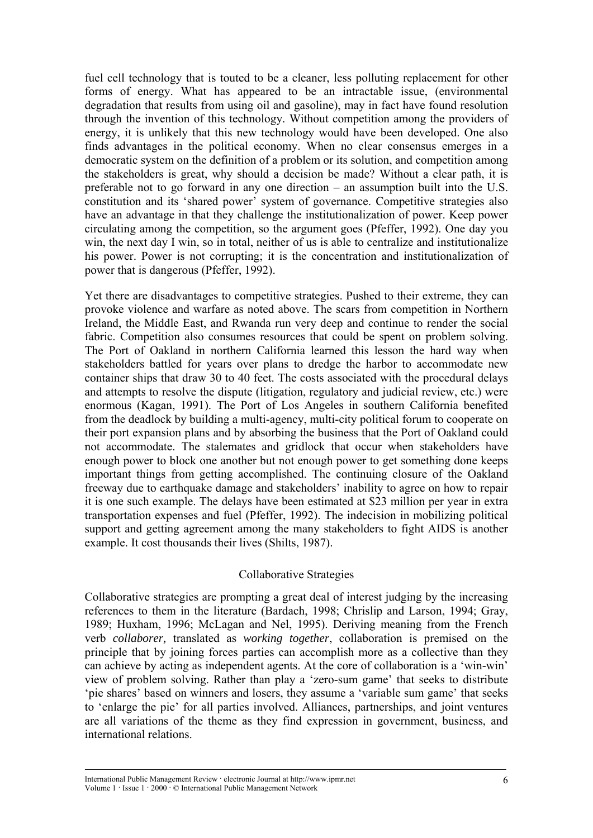fuel cell technology that is touted to be a cleaner, less polluting replacement for other forms of energy. What has appeared to be an intractable issue, (environmental degradation that results from using oil and gasoline), may in fact have found resolution through the invention of this technology. Without competition among the providers of energy, it is unlikely that this new technology would have been developed. One also finds advantages in the political economy. When no clear consensus emerges in a democratic system on the definition of a problem or its solution, and competition among the stakeholders is great, why should a decision be made? Without a clear path, it is preferable not to go forward in any one direction – an assumption built into the U.S. constitution and its 'shared power' system of governance. Competitive strategies also have an advantage in that they challenge the institutionalization of power. Keep power circulating among the competition, so the argument goes (Pfeffer, 1992). One day you win, the next day I win, so in total, neither of us is able to centralize and institutionalize his power. Power is not corrupting; it is the concentration and institutionalization of power that is dangerous (Pfeffer, 1992).

Yet there are disadvantages to competitive strategies. Pushed to their extreme, they can provoke violence and warfare as noted above. The scars from competition in Northern Ireland, the Middle East, and Rwanda run very deep and continue to render the social fabric. Competition also consumes resources that could be spent on problem solving. The Port of Oakland in northern California learned this lesson the hard way when stakeholders battled for years over plans to dredge the harbor to accommodate new container ships that draw 30 to 40 feet. The costs associated with the procedural delays and attempts to resolve the dispute (litigation, regulatory and judicial review, etc.) were enormous (Kagan, 1991). The Port of Los Angeles in southern California benefited from the deadlock by building a multi-agency, multi-city political forum to cooperate on their port expansion plans and by absorbing the business that the Port of Oakland could not accommodate. The stalemates and gridlock that occur when stakeholders have enough power to block one another but not enough power to get something done keeps important things from getting accomplished. The continuing closure of the Oakland freeway due to earthquake damage and stakeholders' inability to agree on how to repair it is one such example. The delays have been estimated at \$23 million per year in extra transportation expenses and fuel (Pfeffer, 1992). The indecision in mobilizing political support and getting agreement among the many stakeholders to fight AIDS is another example. It cost thousands their lives (Shilts, 1987).

## Collaborative Strategies

Collaborative strategies are prompting a great deal of interest judging by the increasing references to them in the literature (Bardach, 1998; Chrislip and Larson, 1994; Gray, 1989; Huxham, 1996; McLagan and Nel, 1995). Deriving meaning from the French verb *collaborer,* translated as *working together*, collaboration is premised on the principle that by joining forces parties can accomplish more as a collective than they can achieve by acting as independent agents. At the core of collaboration is a 'win-win' view of problem solving. Rather than play a 'zero-sum game' that seeks to distribute 'pie shares' based on winners and losers, they assume a 'variable sum game' that seeks to 'enlarge the pie' for all parties involved. Alliances, partnerships, and joint ventures are all variations of the theme as they find expression in government, business, and international relations.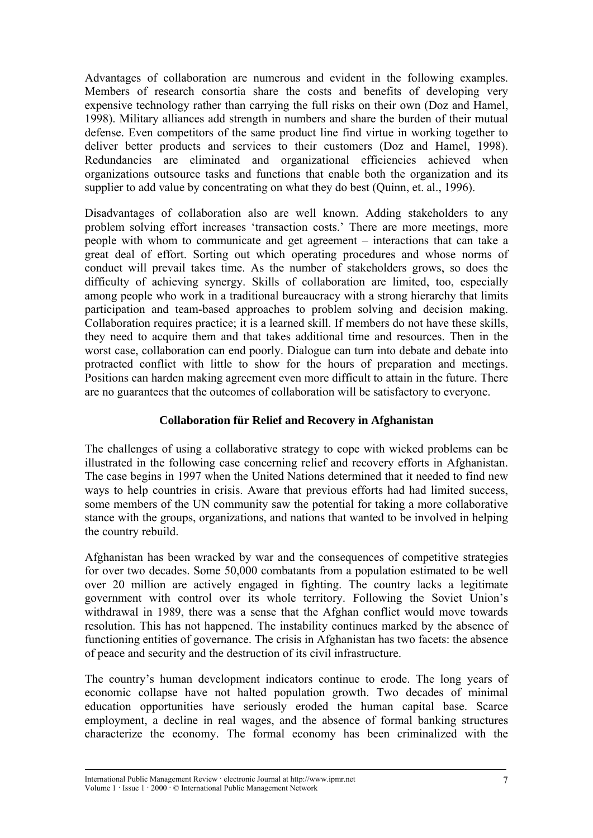Advantages of collaboration are numerous and evident in the following examples. Members of research consortia share the costs and benefits of developing very expensive technology rather than carrying the full risks on their own (Doz and Hamel, 1998). Military alliances add strength in numbers and share the burden of their mutual defense. Even competitors of the same product line find virtue in working together to deliver better products and services to their customers (Doz and Hamel, 1998). Redundancies are eliminated and organizational efficiencies achieved when organizations outsource tasks and functions that enable both the organization and its supplier to add value by concentrating on what they do best (Quinn, et. al., 1996).

Disadvantages of collaboration also are well known. Adding stakeholders to any problem solving effort increases 'transaction costs.' There are more meetings, more people with whom to communicate and get agreement – interactions that can take a great deal of effort. Sorting out which operating procedures and whose norms of conduct will prevail takes time. As the number of stakeholders grows, so does the difficulty of achieving synergy. Skills of collaboration are limited, too, especially among people who work in a traditional bureaucracy with a strong hierarchy that limits participation and team-based approaches to problem solving and decision making. Collaboration requires practice; it is a learned skill. If members do not have these skills, they need to acquire them and that takes additional time and resources. Then in the worst case, collaboration can end poorly. Dialogue can turn into debate and debate into protracted conflict with little to show for the hours of preparation and meetings. Positions can harden making agreement even more difficult to attain in the future. There are no guarantees that the outcomes of collaboration will be satisfactory to everyone.

### **Collaboration für Relief and Recovery in Afghanistan**

The challenges of using a collaborative strategy to cope with wicked problems can be illustrated in the following case concerning relief and recovery efforts in Afghanistan. The case begins in 1997 when the United Nations determined that it needed to find new ways to help countries in crisis. Aware that previous efforts had had limited success, some members of the UN community saw the potential for taking a more collaborative stance with the groups, organizations, and nations that wanted to be involved in helping the country rebuild.

Afghanistan has been wracked by war and the consequences of competitive strategies for over two decades. Some 50,000 combatants from a population estimated to be well over 20 million are actively engaged in fighting. The country lacks a legitimate government with control over its whole territory. Following the Soviet Union's withdrawal in 1989, there was a sense that the Afghan conflict would move towards resolution. This has not happened. The instability continues marked by the absence of functioning entities of governance. The crisis in Afghanistan has two facets: the absence of peace and security and the destruction of its civil infrastructure.

The country's human development indicators continue to erode. The long years of economic collapse have not halted population growth. Two decades of minimal education opportunities have seriously eroded the human capital base. Scarce employment, a decline in real wages, and the absence of formal banking structures characterize the economy. The formal economy has been criminalized with the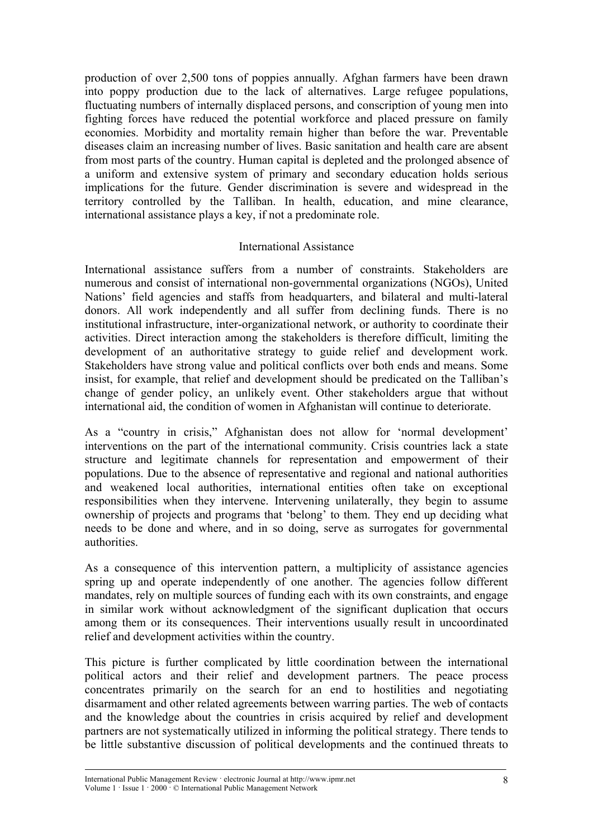production of over 2,500 tons of poppies annually. Afghan farmers have been drawn into poppy production due to the lack of alternatives. Large refugee populations, fluctuating numbers of internally displaced persons, and conscription of young men into fighting forces have reduced the potential workforce and placed pressure on family economies. Morbidity and mortality remain higher than before the war. Preventable diseases claim an increasing number of lives. Basic sanitation and health care are absent from most parts of the country. Human capital is depleted and the prolonged absence of a uniform and extensive system of primary and secondary education holds serious implications for the future. Gender discrimination is severe and widespread in the territory controlled by the Talliban. In health, education, and mine clearance, international assistance plays a key, if not a predominate role.

#### International Assistance

International assistance suffers from a number of constraints. Stakeholders are numerous and consist of international non-governmental organizations (NGOs), United Nations' field agencies and staffs from headquarters, and bilateral and multi-lateral donors. All work independently and all suffer from declining funds. There is no institutional infrastructure, inter-organizational network, or authority to coordinate their activities. Direct interaction among the stakeholders is therefore difficult, limiting the development of an authoritative strategy to guide relief and development work. Stakeholders have strong value and political conflicts over both ends and means. Some insist, for example, that relief and development should be predicated on the Talliban's change of gender policy, an unlikely event. Other stakeholders argue that without international aid, the condition of women in Afghanistan will continue to deteriorate.

As a "country in crisis," Afghanistan does not allow for 'normal development' interventions on the part of the international community. Crisis countries lack a state structure and legitimate channels for representation and empowerment of their populations. Due to the absence of representative and regional and national authorities and weakened local authorities, international entities often take on exceptional responsibilities when they intervene. Intervening unilaterally, they begin to assume ownership of projects and programs that 'belong' to them. They end up deciding what needs to be done and where, and in so doing, serve as surrogates for governmental authorities.

As a consequence of this intervention pattern, a multiplicity of assistance agencies spring up and operate independently of one another. The agencies follow different mandates, rely on multiple sources of funding each with its own constraints, and engage in similar work without acknowledgment of the significant duplication that occurs among them or its consequences. Their interventions usually result in uncoordinated relief and development activities within the country.

This picture is further complicated by little coordination between the international political actors and their relief and development partners. The peace process concentrates primarily on the search for an end to hostilities and negotiating disarmament and other related agreements between warring parties. The web of contacts and the knowledge about the countries in crisis acquired by relief and development partners are not systematically utilized in informing the political strategy. There tends to be little substantive discussion of political developments and the continued threats to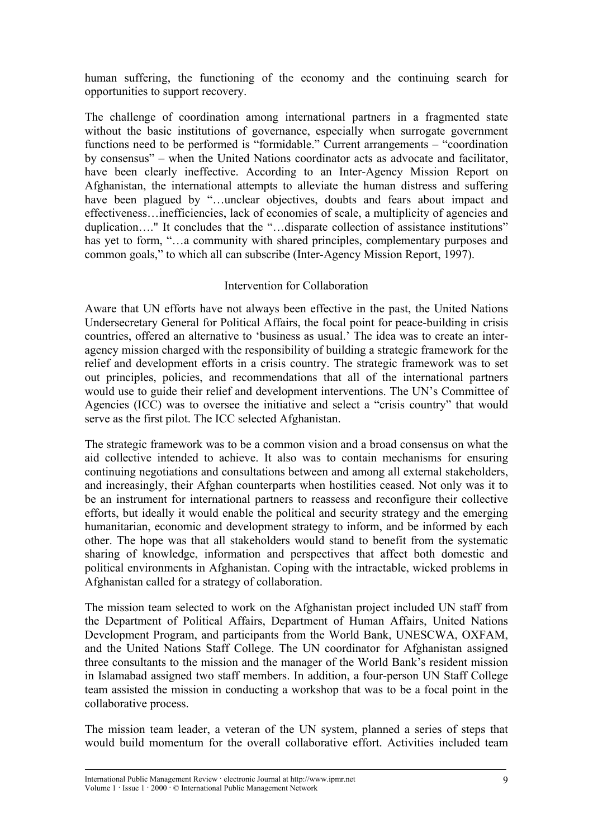human suffering, the functioning of the economy and the continuing search for opportunities to support recovery.

The challenge of coordination among international partners in a fragmented state without the basic institutions of governance, especially when surrogate government functions need to be performed is "formidable." Current arrangements – "coordination by consensus" – when the United Nations coordinator acts as advocate and facilitator, have been clearly ineffective. According to an Inter-Agency Mission Report on Afghanistan, the international attempts to alleviate the human distress and suffering have been plagued by "...unclear objectives, doubts and fears about impact and effectiveness…inefficiencies, lack of economies of scale, a multiplicity of agencies and duplication…." It concludes that the "…disparate collection of assistance institutions" has yet to form, "...a community with shared principles, complementary purposes and common goals," to which all can subscribe (Inter-Agency Mission Report, 1997).

## Intervention for Collaboration

Aware that UN efforts have not always been effective in the past, the United Nations Undersecretary General for Political Affairs, the focal point for peace-building in crisis countries, offered an alternative to 'business as usual.' The idea was to create an interagency mission charged with the responsibility of building a strategic framework for the relief and development efforts in a crisis country. The strategic framework was to set out principles, policies, and recommendations that all of the international partners would use to guide their relief and development interventions. The UN's Committee of Agencies (ICC) was to oversee the initiative and select a "crisis country" that would serve as the first pilot. The ICC selected Afghanistan.

The strategic framework was to be a common vision and a broad consensus on what the aid collective intended to achieve. It also was to contain mechanisms for ensuring continuing negotiations and consultations between and among all external stakeholders, and increasingly, their Afghan counterparts when hostilities ceased. Not only was it to be an instrument for international partners to reassess and reconfigure their collective efforts, but ideally it would enable the political and security strategy and the emerging humanitarian, economic and development strategy to inform, and be informed by each other. The hope was that all stakeholders would stand to benefit from the systematic sharing of knowledge, information and perspectives that affect both domestic and political environments in Afghanistan. Coping with the intractable, wicked problems in Afghanistan called for a strategy of collaboration.

The mission team selected to work on the Afghanistan project included UN staff from the Department of Political Affairs, Department of Human Affairs, United Nations Development Program, and participants from the World Bank, UNESCWA, OXFAM, and the United Nations Staff College. The UN coordinator for Afghanistan assigned three consultants to the mission and the manager of the World Bank's resident mission in Islamabad assigned two staff members. In addition, a four-person UN Staff College team assisted the mission in conducting a workshop that was to be a focal point in the collaborative process.

The mission team leader, a veteran of the UN system, planned a series of steps that would build momentum for the overall collaborative effort. Activities included team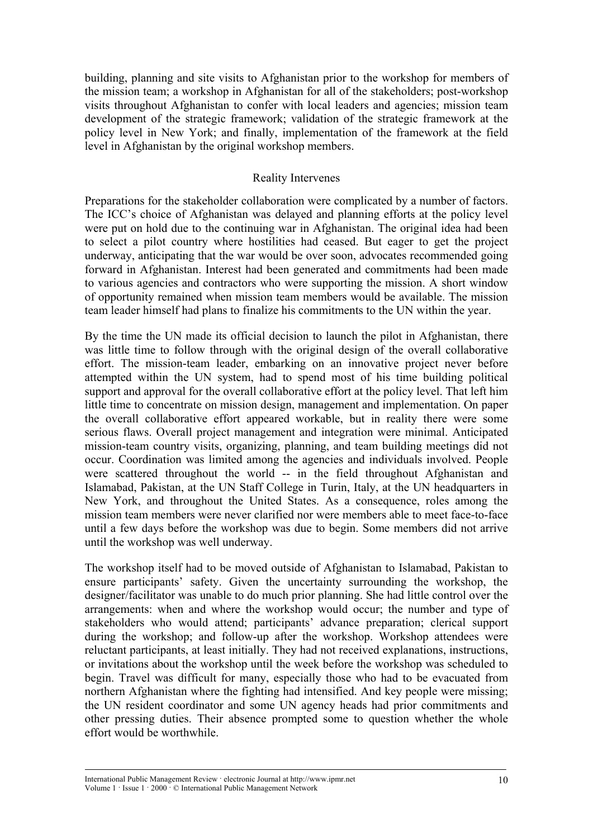building, planning and site visits to Afghanistan prior to the workshop for members of the mission team; a workshop in Afghanistan for all of the stakeholders; post-workshop visits throughout Afghanistan to confer with local leaders and agencies; mission team development of the strategic framework; validation of the strategic framework at the policy level in New York; and finally, implementation of the framework at the field level in Afghanistan by the original workshop members.

## Reality Intervenes

Preparations for the stakeholder collaboration were complicated by a number of factors. The ICC's choice of Afghanistan was delayed and planning efforts at the policy level were put on hold due to the continuing war in Afghanistan. The original idea had been to select a pilot country where hostilities had ceased. But eager to get the project underway, anticipating that the war would be over soon, advocates recommended going forward in Afghanistan. Interest had been generated and commitments had been made to various agencies and contractors who were supporting the mission. A short window of opportunity remained when mission team members would be available. The mission team leader himself had plans to finalize his commitments to the UN within the year.

By the time the UN made its official decision to launch the pilot in Afghanistan, there was little time to follow through with the original design of the overall collaborative effort. The mission-team leader, embarking on an innovative project never before attempted within the UN system, had to spend most of his time building political support and approval for the overall collaborative effort at the policy level. That left him little time to concentrate on mission design, management and implementation. On paper the overall collaborative effort appeared workable, but in reality there were some serious flaws. Overall project management and integration were minimal. Anticipated mission-team country visits, organizing, planning, and team building meetings did not occur. Coordination was limited among the agencies and individuals involved. People were scattered throughout the world -- in the field throughout Afghanistan and Islamabad, Pakistan, at the UN Staff College in Turin, Italy, at the UN headquarters in New York, and throughout the United States. As a consequence, roles among the mission team members were never clarified nor were members able to meet face-to-face until a few days before the workshop was due to begin. Some members did not arrive until the workshop was well underway.

The workshop itself had to be moved outside of Afghanistan to Islamabad, Pakistan to ensure participants' safety. Given the uncertainty surrounding the workshop, the designer/facilitator was unable to do much prior planning. She had little control over the arrangements: when and where the workshop would occur; the number and type of stakeholders who would attend; participants' advance preparation; clerical support during the workshop; and follow-up after the workshop. Workshop attendees were reluctant participants, at least initially. They had not received explanations, instructions, or invitations about the workshop until the week before the workshop was scheduled to begin. Travel was difficult for many, especially those who had to be evacuated from northern Afghanistan where the fighting had intensified. And key people were missing; the UN resident coordinator and some UN agency heads had prior commitments and other pressing duties. Their absence prompted some to question whether the whole effort would be worthwhile.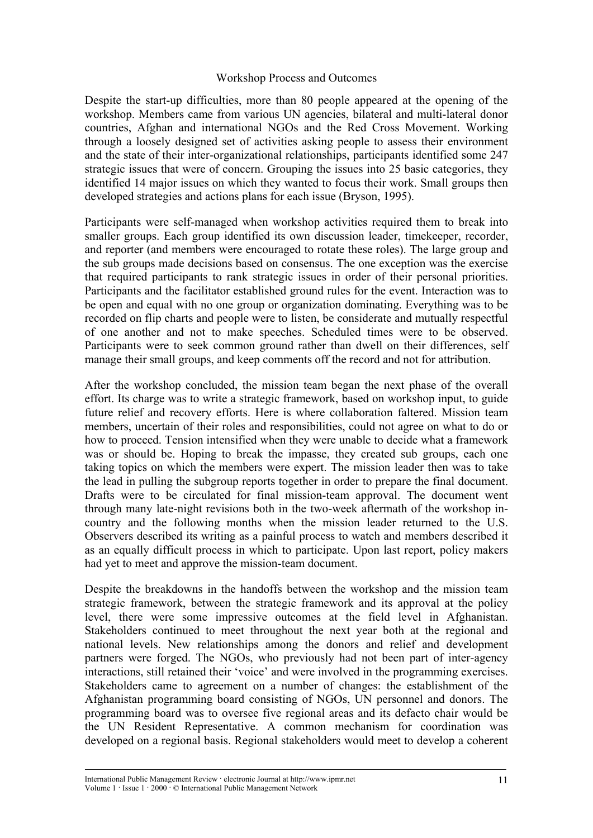#### Workshop Process and Outcomes

Despite the start-up difficulties, more than 80 people appeared at the opening of the workshop. Members came from various UN agencies, bilateral and multi-lateral donor countries, Afghan and international NGOs and the Red Cross Movement. Working through a loosely designed set of activities asking people to assess their environment and the state of their inter-organizational relationships, participants identified some 247 strategic issues that were of concern. Grouping the issues into 25 basic categories, they identified 14 major issues on which they wanted to focus their work. Small groups then developed strategies and actions plans for each issue (Bryson, 1995).

Participants were self-managed when workshop activities required them to break into smaller groups. Each group identified its own discussion leader, timekeeper, recorder, and reporter (and members were encouraged to rotate these roles). The large group and the sub groups made decisions based on consensus. The one exception was the exercise that required participants to rank strategic issues in order of their personal priorities. Participants and the facilitator established ground rules for the event. Interaction was to be open and equal with no one group or organization dominating. Everything was to be recorded on flip charts and people were to listen, be considerate and mutually respectful of one another and not to make speeches. Scheduled times were to be observed. Participants were to seek common ground rather than dwell on their differences, self manage their small groups, and keep comments off the record and not for attribution.

After the workshop concluded, the mission team began the next phase of the overall effort. Its charge was to write a strategic framework, based on workshop input, to guide future relief and recovery efforts. Here is where collaboration faltered. Mission team members, uncertain of their roles and responsibilities, could not agree on what to do or how to proceed. Tension intensified when they were unable to decide what a framework was or should be. Hoping to break the impasse, they created sub groups, each one taking topics on which the members were expert. The mission leader then was to take the lead in pulling the subgroup reports together in order to prepare the final document. Drafts were to be circulated for final mission-team approval. The document went through many late-night revisions both in the two-week aftermath of the workshop incountry and the following months when the mission leader returned to the U.S. Observers described its writing as a painful process to watch and members described it as an equally difficult process in which to participate. Upon last report, policy makers had yet to meet and approve the mission-team document.

Despite the breakdowns in the handoffs between the workshop and the mission team strategic framework, between the strategic framework and its approval at the policy level, there were some impressive outcomes at the field level in Afghanistan. Stakeholders continued to meet throughout the next year both at the regional and national levels. New relationships among the donors and relief and development partners were forged. The NGOs, who previously had not been part of inter-agency interactions, still retained their 'voice' and were involved in the programming exercises. Stakeholders came to agreement on a number of changes: the establishment of the Afghanistan programming board consisting of NGOs, UN personnel and donors. The programming board was to oversee five regional areas and its defacto chair would be the UN Resident Representative. A common mechanism for coordination was developed on a regional basis. Regional stakeholders would meet to develop a coherent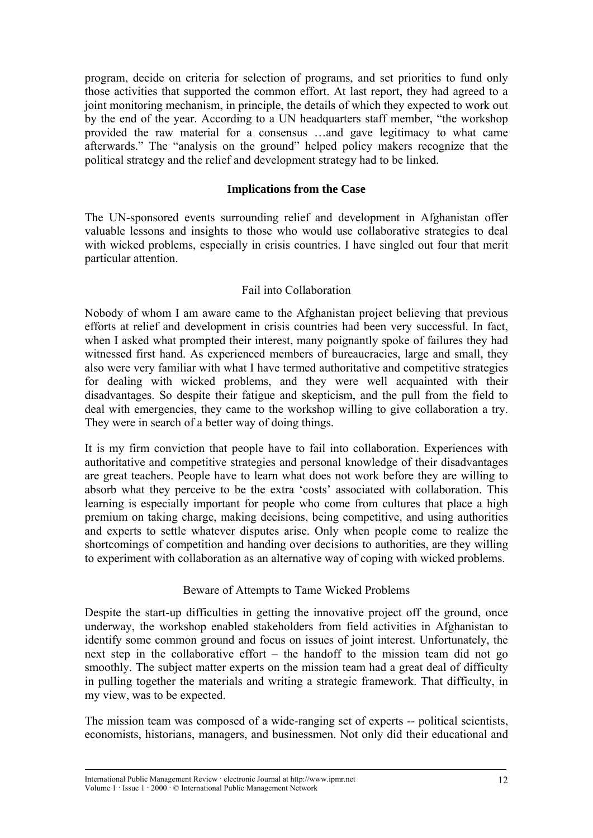program, decide on criteria for selection of programs, and set priorities to fund only those activities that supported the common effort. At last report, they had agreed to a joint monitoring mechanism, in principle, the details of which they expected to work out by the end of the year. According to a UN headquarters staff member, "the workshop provided the raw material for a consensus …and gave legitimacy to what came afterwards." The "analysis on the ground" helped policy makers recognize that the political strategy and the relief and development strategy had to be linked.

### **Implications from the Case**

The UN-sponsored events surrounding relief and development in Afghanistan offer valuable lessons and insights to those who would use collaborative strategies to deal with wicked problems, especially in crisis countries. I have singled out four that merit particular attention.

## Fail into Collaboration

Nobody of whom I am aware came to the Afghanistan project believing that previous efforts at relief and development in crisis countries had been very successful. In fact, when I asked what prompted their interest, many poignantly spoke of failures they had witnessed first hand. As experienced members of bureaucracies, large and small, they also were very familiar with what I have termed authoritative and competitive strategies for dealing with wicked problems, and they were well acquainted with their disadvantages. So despite their fatigue and skepticism, and the pull from the field to deal with emergencies, they came to the workshop willing to give collaboration a try. They were in search of a better way of doing things.

It is my firm conviction that people have to fail into collaboration. Experiences with authoritative and competitive strategies and personal knowledge of their disadvantages are great teachers. People have to learn what does not work before they are willing to absorb what they perceive to be the extra 'costs' associated with collaboration. This learning is especially important for people who come from cultures that place a high premium on taking charge, making decisions, being competitive, and using authorities and experts to settle whatever disputes arise. Only when people come to realize the shortcomings of competition and handing over decisions to authorities, are they willing to experiment with collaboration as an alternative way of coping with wicked problems.

## Beware of Attempts to Tame Wicked Problems

Despite the start-up difficulties in getting the innovative project off the ground, once underway, the workshop enabled stakeholders from field activities in Afghanistan to identify some common ground and focus on issues of joint interest. Unfortunately, the next step in the collaborative effort – the handoff to the mission team did not go smoothly. The subject matter experts on the mission team had a great deal of difficulty in pulling together the materials and writing a strategic framework. That difficulty, in my view, was to be expected.

The mission team was composed of a wide-ranging set of experts -- political scientists, economists, historians, managers, and businessmen. Not only did their educational and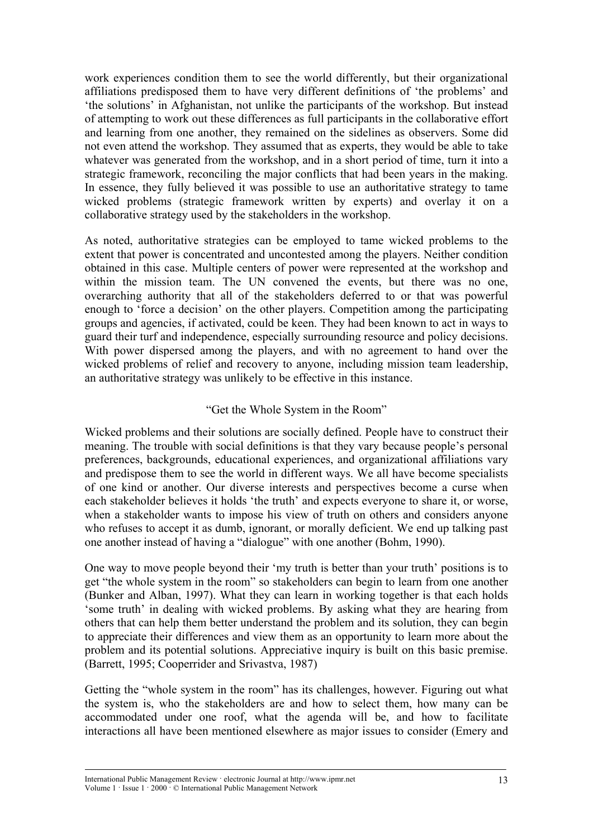work experiences condition them to see the world differently, but their organizational affiliations predisposed them to have very different definitions of 'the problems' and 'the solutions' in Afghanistan, not unlike the participants of the workshop. But instead of attempting to work out these differences as full participants in the collaborative effort and learning from one another, they remained on the sidelines as observers. Some did not even attend the workshop. They assumed that as experts, they would be able to take whatever was generated from the workshop, and in a short period of time, turn it into a strategic framework, reconciling the major conflicts that had been years in the making. In essence, they fully believed it was possible to use an authoritative strategy to tame wicked problems (strategic framework written by experts) and overlay it on a collaborative strategy used by the stakeholders in the workshop.

As noted, authoritative strategies can be employed to tame wicked problems to the extent that power is concentrated and uncontested among the players. Neither condition obtained in this case. Multiple centers of power were represented at the workshop and within the mission team. The UN convened the events, but there was no one, overarching authority that all of the stakeholders deferred to or that was powerful enough to 'force a decision' on the other players. Competition among the participating groups and agencies, if activated, could be keen. They had been known to act in ways to guard their turf and independence, especially surrounding resource and policy decisions. With power dispersed among the players, and with no agreement to hand over the wicked problems of relief and recovery to anyone, including mission team leadership, an authoritative strategy was unlikely to be effective in this instance.

## "Get the Whole System in the Room"

Wicked problems and their solutions are socially defined. People have to construct their meaning. The trouble with social definitions is that they vary because people's personal preferences, backgrounds, educational experiences, and organizational affiliations vary and predispose them to see the world in different ways. We all have become specialists of one kind or another. Our diverse interests and perspectives become a curse when each stakeholder believes it holds 'the truth' and expects everyone to share it, or worse, when a stakeholder wants to impose his view of truth on others and considers anyone who refuses to accept it as dumb, ignorant, or morally deficient. We end up talking past one another instead of having a "dialogue" with one another (Bohm, 1990).

One way to move people beyond their 'my truth is better than your truth' positions is to get "the whole system in the room" so stakeholders can begin to learn from one another (Bunker and Alban, 1997). What they can learn in working together is that each holds 'some truth' in dealing with wicked problems. By asking what they are hearing from others that can help them better understand the problem and its solution, they can begin to appreciate their differences and view them as an opportunity to learn more about the problem and its potential solutions. Appreciative inquiry is built on this basic premise. (Barrett, 1995; Cooperrider and Srivastva, 1987)

Getting the "whole system in the room" has its challenges, however. Figuring out what the system is, who the stakeholders are and how to select them, how many can be accommodated under one roof, what the agenda will be, and how to facilitate interactions all have been mentioned elsewhere as major issues to consider (Emery and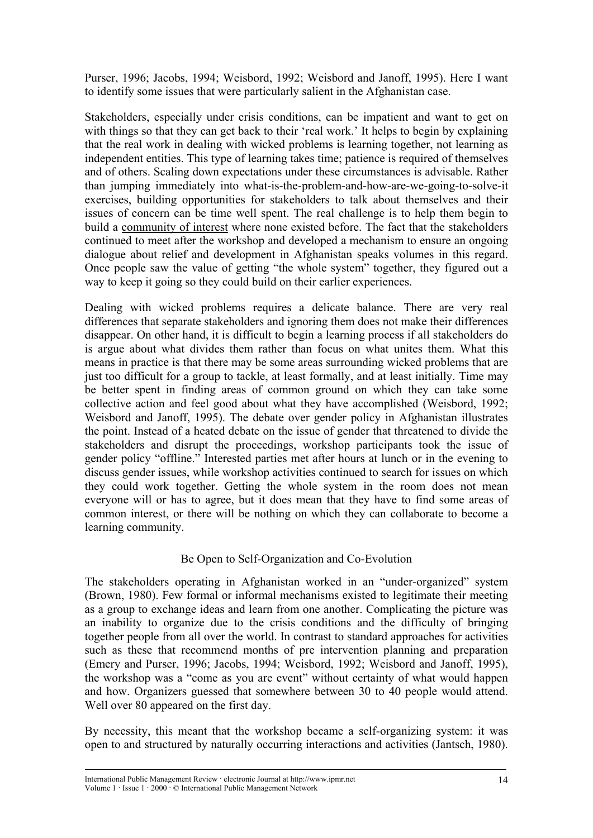Purser, 1996; Jacobs, 1994; Weisbord, 1992; Weisbord and Janoff, 1995). Here I want to identify some issues that were particularly salient in the Afghanistan case.

Stakeholders, especially under crisis conditions, can be impatient and want to get on with things so that they can get back to their 'real work.' It helps to begin by explaining that the real work in dealing with wicked problems is learning together, not learning as independent entities. This type of learning takes time; patience is required of themselves and of others. Scaling down expectations under these circumstances is advisable. Rather than jumping immediately into what-is-the-problem-and-how-are-we-going-to-solve-it exercises, building opportunities for stakeholders to talk about themselves and their issues of concern can be time well spent. The real challenge is to help them begin to build a community of interest where none existed before. The fact that the stakeholders continued to meet after the workshop and developed a mechanism to ensure an ongoing dialogue about relief and development in Afghanistan speaks volumes in this regard. Once people saw the value of getting "the whole system" together, they figured out a way to keep it going so they could build on their earlier experiences.

Dealing with wicked problems requires a delicate balance. There are very real differences that separate stakeholders and ignoring them does not make their differences disappear. On other hand, it is difficult to begin a learning process if all stakeholders do is argue about what divides them rather than focus on what unites them. What this means in practice is that there may be some areas surrounding wicked problems that are just too difficult for a group to tackle, at least formally, and at least initially. Time may be better spent in finding areas of common ground on which they can take some collective action and feel good about what they have accomplished (Weisbord, 1992; Weisbord and Janoff, 1995). The debate over gender policy in Afghanistan illustrates the point. Instead of a heated debate on the issue of gender that threatened to divide the stakeholders and disrupt the proceedings, workshop participants took the issue of gender policy "offline." Interested parties met after hours at lunch or in the evening to discuss gender issues, while workshop activities continued to search for issues on which they could work together. Getting the whole system in the room does not mean everyone will or has to agree, but it does mean that they have to find some areas of common interest, or there will be nothing on which they can collaborate to become a learning community.

# Be Open to Self-Organization and Co-Evolution

The stakeholders operating in Afghanistan worked in an "under-organized" system (Brown, 1980). Few formal or informal mechanisms existed to legitimate their meeting as a group to exchange ideas and learn from one another. Complicating the picture was an inability to organize due to the crisis conditions and the difficulty of bringing together people from all over the world. In contrast to standard approaches for activities such as these that recommend months of pre intervention planning and preparation (Emery and Purser, 1996; Jacobs, 1994; Weisbord, 1992; Weisbord and Janoff, 1995), the workshop was a "come as you are event" without certainty of what would happen and how. Organizers guessed that somewhere between 30 to 40 people would attend. Well over 80 appeared on the first day.

By necessity, this meant that the workshop became a self-organizing system: it was open to and structured by naturally occurring interactions and activities (Jantsch, 1980).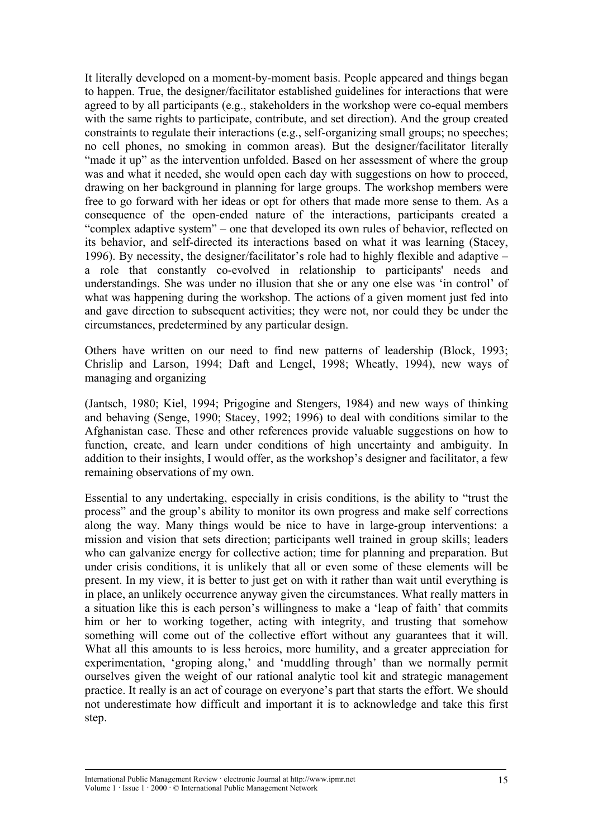It literally developed on a moment-by-moment basis. People appeared and things began to happen. True, the designer/facilitator established guidelines for interactions that were agreed to by all participants (e.g., stakeholders in the workshop were co-equal members with the same rights to participate, contribute, and set direction). And the group created constraints to regulate their interactions (e.g., self-organizing small groups; no speeches; no cell phones, no smoking in common areas). But the designer/facilitator literally "made it up" as the intervention unfolded. Based on her assessment of where the group was and what it needed, she would open each day with suggestions on how to proceed, drawing on her background in planning for large groups. The workshop members were free to go forward with her ideas or opt for others that made more sense to them. As a consequence of the open-ended nature of the interactions, participants created a "complex adaptive system" – one that developed its own rules of behavior, reflected on its behavior, and self-directed its interactions based on what it was learning (Stacey, 1996). By necessity, the designer/facilitator's role had to highly flexible and adaptive – a role that constantly co-evolved in relationship to participants' needs and understandings. She was under no illusion that she or any one else was 'in control' of what was happening during the workshop. The actions of a given moment just fed into and gave direction to subsequent activities; they were not, nor could they be under the circumstances, predetermined by any particular design.

Others have written on our need to find new patterns of leadership (Block, 1993; Chrislip and Larson, 1994; Daft and Lengel, 1998; Wheatly, 1994), new ways of managing and organizing

(Jantsch, 1980; Kiel, 1994; Prigogine and Stengers, 1984) and new ways of thinking and behaving (Senge, 1990; Stacey, 1992; 1996) to deal with conditions similar to the Afghanistan case. These and other references provide valuable suggestions on how to function, create, and learn under conditions of high uncertainty and ambiguity. In addition to their insights, I would offer, as the workshop's designer and facilitator, a few remaining observations of my own.

Essential to any undertaking, especially in crisis conditions, is the ability to "trust the process" and the group's ability to monitor its own progress and make self corrections along the way. Many things would be nice to have in large-group interventions: a mission and vision that sets direction; participants well trained in group skills; leaders who can galvanize energy for collective action; time for planning and preparation. But under crisis conditions, it is unlikely that all or even some of these elements will be present. In my view, it is better to just get on with it rather than wait until everything is in place, an unlikely occurrence anyway given the circumstances. What really matters in a situation like this is each person's willingness to make a 'leap of faith' that commits him or her to working together, acting with integrity, and trusting that somehow something will come out of the collective effort without any guarantees that it will. What all this amounts to is less heroics, more humility, and a greater appreciation for experimentation, 'groping along,' and 'muddling through' than we normally permit ourselves given the weight of our rational analytic tool kit and strategic management practice. It really is an act of courage on everyone's part that starts the effort. We should not underestimate how difficult and important it is to acknowledge and take this first step.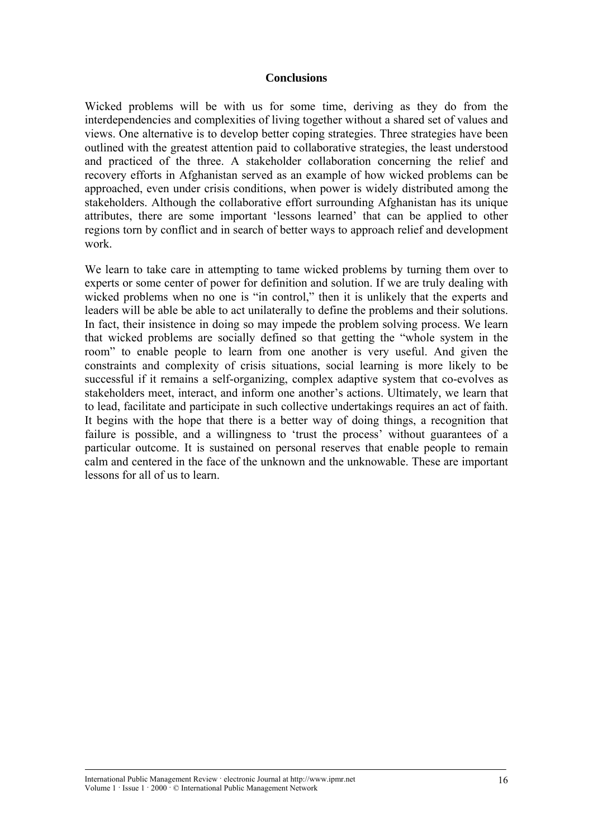#### **Conclusions**

Wicked problems will be with us for some time, deriving as they do from the interdependencies and complexities of living together without a shared set of values and views. One alternative is to develop better coping strategies. Three strategies have been outlined with the greatest attention paid to collaborative strategies, the least understood and practiced of the three. A stakeholder collaboration concerning the relief and recovery efforts in Afghanistan served as an example of how wicked problems can be approached, even under crisis conditions, when power is widely distributed among the stakeholders. Although the collaborative effort surrounding Afghanistan has its unique attributes, there are some important 'lessons learned' that can be applied to other regions torn by conflict and in search of better ways to approach relief and development work.

We learn to take care in attempting to tame wicked problems by turning them over to experts or some center of power for definition and solution. If we are truly dealing with wicked problems when no one is "in control," then it is unlikely that the experts and leaders will be able be able to act unilaterally to define the problems and their solutions. In fact, their insistence in doing so may impede the problem solving process. We learn that wicked problems are socially defined so that getting the "whole system in the room" to enable people to learn from one another is very useful. And given the constraints and complexity of crisis situations, social learning is more likely to be successful if it remains a self-organizing, complex adaptive system that co-evolves as stakeholders meet, interact, and inform one another's actions. Ultimately, we learn that to lead, facilitate and participate in such collective undertakings requires an act of faith. It begins with the hope that there is a better way of doing things, a recognition that failure is possible, and a willingness to 'trust the process' without guarantees of a particular outcome. It is sustained on personal reserves that enable people to remain calm and centered in the face of the unknown and the unknowable. These are important lessons for all of us to learn.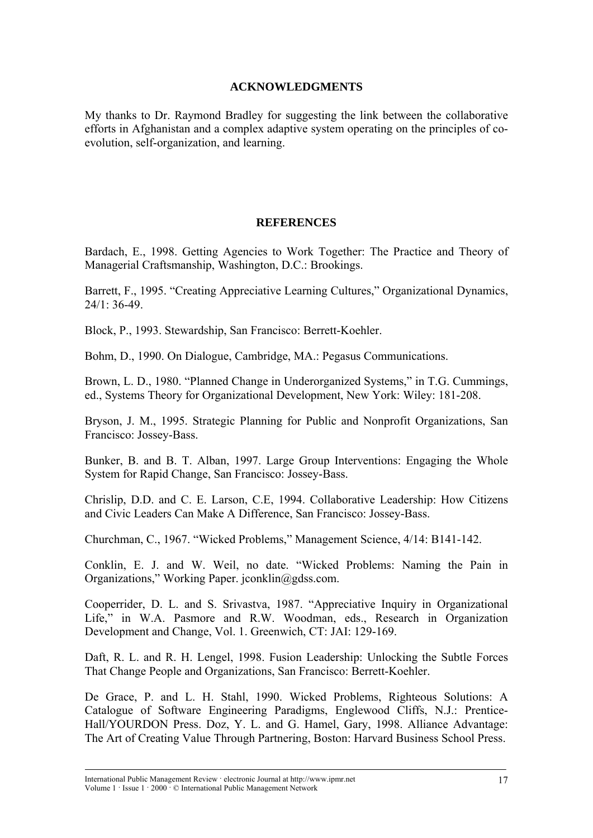#### **ACKNOWLEDGMENTS**

My thanks to Dr. Raymond Bradley for suggesting the link between the collaborative efforts in Afghanistan and a complex adaptive system operating on the principles of coevolution, self-organization, and learning.

#### **REFERENCES**

Bardach, E., 1998. Getting Agencies to Work Together: The Practice and Theory of Managerial Craftsmanship, Washington, D.C.: Brookings.

Barrett, F., 1995. "Creating Appreciative Learning Cultures," Organizational Dynamics,  $24/1: 36-49.$ 

Block, P., 1993. Stewardship, San Francisco: Berrett-Koehler.

Bohm, D., 1990. On Dialogue, Cambridge, MA.: Pegasus Communications.

Brown, L. D., 1980. "Planned Change in Underorganized Systems," in T.G. Cummings, ed., Systems Theory for Organizational Development, New York: Wiley: 181-208.

Bryson, J. M., 1995. Strategic Planning for Public and Nonprofit Organizations, San Francisco: Jossey-Bass.

Bunker, B. and B. T. Alban, 1997. Large Group Interventions: Engaging the Whole System for Rapid Change, San Francisco: Jossey-Bass.

Chrislip, D.D. and C. E. Larson, C.E, 1994. Collaborative Leadership: How Citizens and Civic Leaders Can Make A Difference, San Francisco: Jossey-Bass.

Churchman, C., 1967. "Wicked Problems," Management Science, 4/14: B141-142.

Conklin, E. J. and W. Weil, no date. "Wicked Problems: Naming the Pain in Organizations," Working Paper. jconklin@gdss.com.

Cooperrider, D. L. and S. Srivastva, 1987. "Appreciative Inquiry in Organizational Life," in W.A. Pasmore and R.W. Woodman, eds., Research in Organization Development and Change, Vol. 1. Greenwich, CT: JAI: 129-169.

Daft, R. L. and R. H. Lengel, 1998. Fusion Leadership: Unlocking the Subtle Forces That Change People and Organizations, San Francisco: Berrett-Koehler.

De Grace, P. and L. H. Stahl, 1990. Wicked Problems, Righteous Solutions: A Catalogue of Software Engineering Paradigms, Englewood Cliffs, N.J.: Prentice-Hall/YOURDON Press. Doz, Y. L. and G. Hamel, Gary, 1998. Alliance Advantage: The Art of Creating Value Through Partnering, Boston: Harvard Business School Press.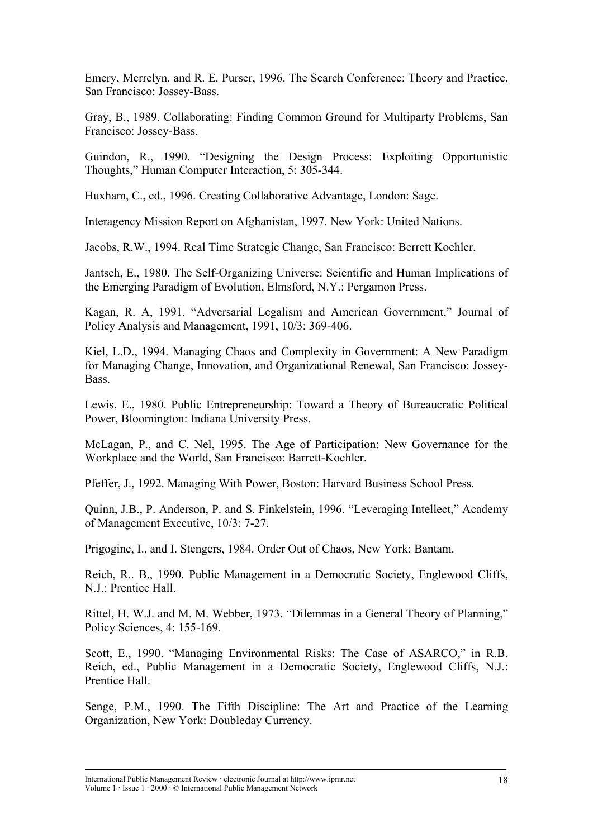Emery, Merrelyn. and R. E. Purser, 1996. The Search Conference: Theory and Practice, San Francisco: Jossey-Bass.

Gray, B., 1989. Collaborating: Finding Common Ground for Multiparty Problems, San Francisco: Jossey-Bass.

Guindon, R., 1990. "Designing the Design Process: Exploiting Opportunistic Thoughts," Human Computer Interaction, 5: 305-344.

Huxham, C., ed., 1996. Creating Collaborative Advantage, London: Sage.

Interagency Mission Report on Afghanistan, 1997. New York: United Nations.

Jacobs, R.W., 1994. Real Time Strategic Change, San Francisco: Berrett Koehler.

Jantsch, E., 1980. The Self-Organizing Universe: Scientific and Human Implications of the Emerging Paradigm of Evolution, Elmsford, N.Y.: Pergamon Press.

Kagan, R. A, 1991. "Adversarial Legalism and American Government," Journal of Policy Analysis and Management, 1991, 10/3: 369-406.

Kiel, L.D., 1994. Managing Chaos and Complexity in Government: A New Paradigm for Managing Change, Innovation, and Organizational Renewal, San Francisco: Jossey-Bass.

Lewis, E., 1980. Public Entrepreneurship: Toward a Theory of Bureaucratic Political Power, Bloomington: Indiana University Press.

McLagan, P., and C. Nel, 1995. The Age of Participation: New Governance for the Workplace and the World, San Francisco: Barrett-Koehler.

Pfeffer, J., 1992. Managing With Power, Boston: Harvard Business School Press.

Quinn, J.B., P. Anderson, P. and S. Finkelstein, 1996. "Leveraging Intellect," Academy of Management Executive, 10/3: 7-27.

Prigogine, I., and I. Stengers, 1984. Order Out of Chaos, New York: Bantam.

Reich, R.. B., 1990. Public Management in a Democratic Society, Englewood Cliffs, N.J.: Prentice Hall.

Rittel, H. W.J. and M. M. Webber, 1973. "Dilemmas in a General Theory of Planning," Policy Sciences, 4: 155-169.

Scott, E., 1990. "Managing Environmental Risks: The Case of ASARCO," in R.B. Reich, ed., Public Management in a Democratic Society, Englewood Cliffs, N.J.: Prentice Hall.

Senge, P.M., 1990. The Fifth Discipline: The Art and Practice of the Learning Organization, New York: Doubleday Currency.